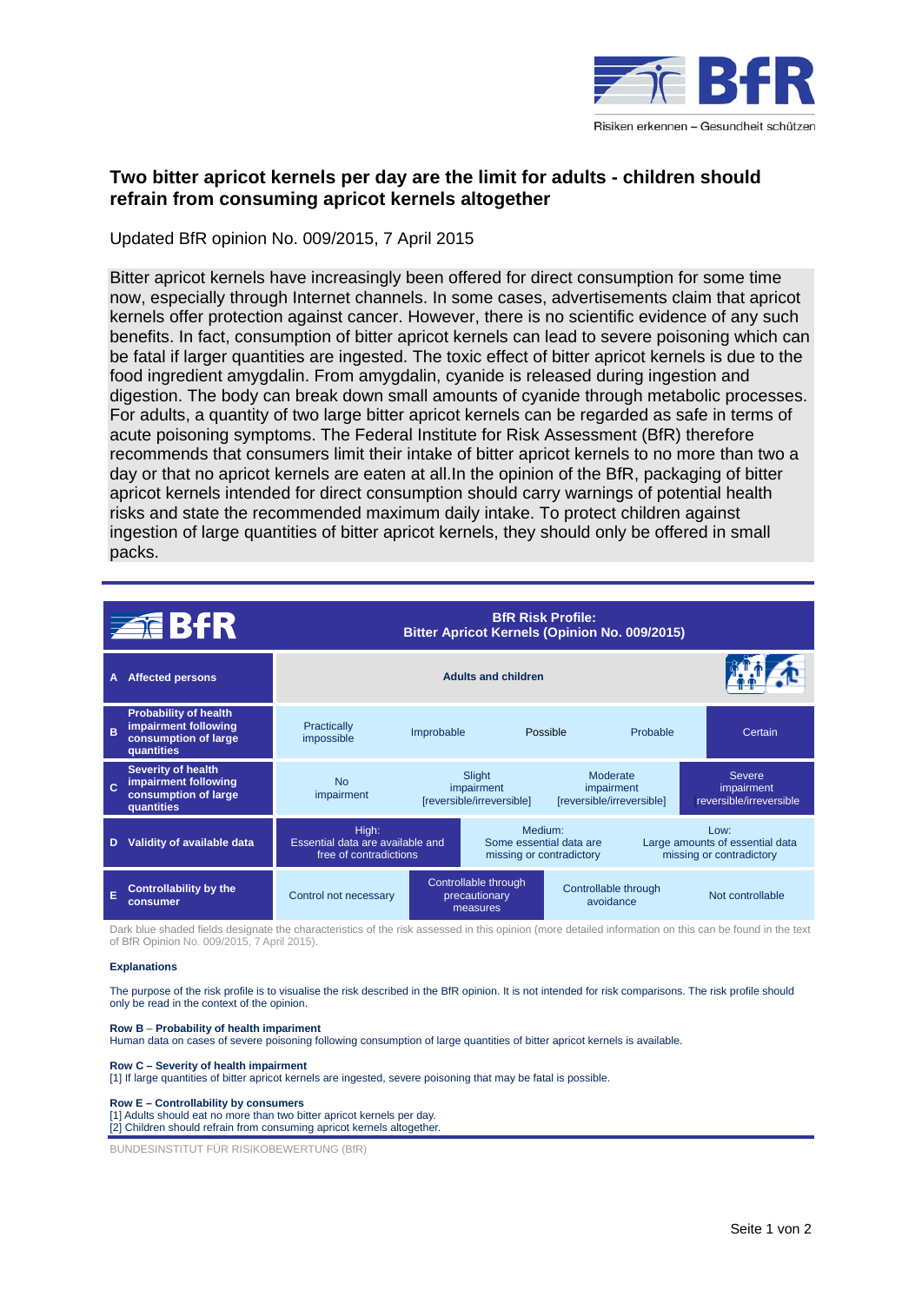

# **Two bitter apricot kernels per day are the limit for adults - children should refrain from consuming apricot kernels altogether**

Updated BfR opinion No. 009/2015, 7 April 2015

Bitter apricot kernels have increasingly been offered for direct consumption for some time now, especially through Internet channels. In some cases, advertisements claim that apricot kernels offer protection against cancer. However, there is no scientific evidence of any such benefits. In fact, consumption of bitter apricot kernels can lead to severe poisoning which can be fatal if larger quantities are ingested. The toxic effect of bitter apricot kernels is due to the food ingredient amygdalin. From amygdalin, cyanide is released during ingestion and digestion. The body can break down small amounts of cyanide through metabolic processes. For adults, a quantity of two large bitter apricot kernels can be regarded as safe in terms of acute poisoning symptoms. The Federal Institute for Risk Assessment (BfR) therefore recommends that consumers limit their intake of bitter apricot kernels to no more than two a day or that no apricot kernels are eaten at all.In the opinion of the BfR, packaging of bitter apricot kernels intended for direct consumption should carry warnings of potential health risks and state the recommended maximum daily intake. To protect children against ingestion of large quantities of bitter apricot kernels, they should only be offered in small packs.

|   | <b>ZEBIR</b>                                                                               | <b>BfR Risk Profile:</b><br><b>Bitter Apricot Kernels (Opinion No. 009/2015)</b> |                                                   |                                                                            |                                                     |                                                                        |                                                        |  |
|---|--------------------------------------------------------------------------------------------|----------------------------------------------------------------------------------|---------------------------------------------------|----------------------------------------------------------------------------|-----------------------------------------------------|------------------------------------------------------------------------|--------------------------------------------------------|--|
| A | <b>Affected persons</b>                                                                    | <b>Adults and children</b>                                                       |                                                   |                                                                            |                                                     |                                                                        |                                                        |  |
| B | <b>Probability of health</b><br>impairment following<br>consumption of large<br>quantities | Practically<br>impossible                                                        | Improbable                                        |                                                                            | Possible                                            |                                                                        | Certain                                                |  |
|   | <b>Severity of health</b><br>impairment following<br>consumption of large<br>quantities    | <b>No</b><br>impairment                                                          |                                                   | Slight<br>impairment<br>[reversible/irreversible]                          | Moderate<br>impairment<br>[reversible/irreversible] |                                                                        | <b>Severe</b><br>impairment<br>reversible/irreversible |  |
| D | Validity of available data                                                                 | High:<br>Essential data are available and<br>free of contradictions              |                                                   | Medium <sup>-</sup><br>Some essential data are<br>missing or contradictory |                                                     | $1$ OW:<br>Large amounts of essential data<br>missing or contradictory |                                                        |  |
| E | <b>Controllability by the</b><br>consumer                                                  | Control not necessary                                                            | Controllable through<br>precautionary<br>measures |                                                                            | Controllable through<br>avoidance                   |                                                                        | Not controllable                                       |  |

Dark blue shaded fields designate the characteristics of the risk assessed in this opinion (more detailed information on this can be found in the text of BfR Opinion No. 009/2015, 7 April 2015).

### **Explanations**

The purpose of the risk profile is to visualise the risk described in the BfR opinion. It is not intended for risk comparisons. The risk profile should only be read in the context of the opinion.

## **Row B** – **Probability of health impariment**

Human data on cases of severe poisoning following consumption of large quantities of bitter apricot kernels is available.

### **Row C – Severity of health impairment**

[1] If large quantities of bitter apricot kernels are ingested, severe poisoning that may be fatal is possible.

### **Row E – Controllability by consumers**

[1] Adults should eat no more than two bitter apricot kernels per day. [2] Children should refrain from consuming apricot kernels altogether.

BUNDESINSTITUT FÜR RISIKOBEWERTUNG (BfR)